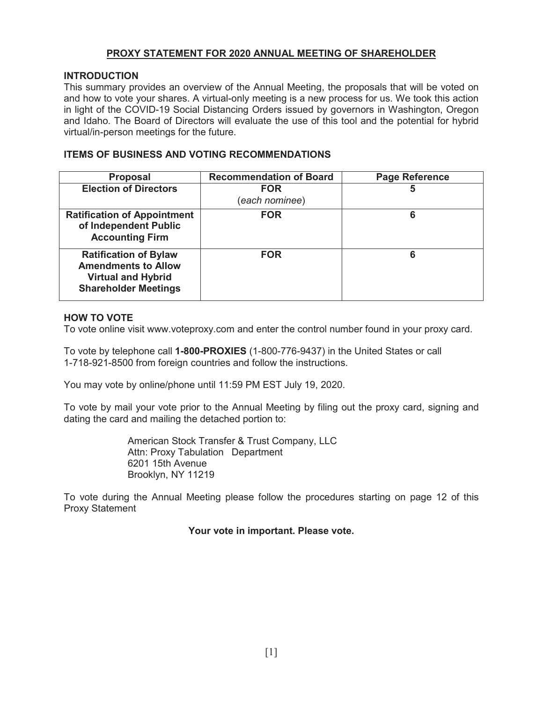## **PROXY STATEMENT FOR 2020 ANNUAL MEETING OF SHAREHOLDER**

#### **INTRODUCTION**

 This summary provides an overview of the Annual Meeting, the proposals that will be voted on and how to vote your shares. A virtual-only meeting is a new process for us. We took this action in light of the COVID-19 Social Distancing Orders issued by governors in Washington, Oregon and Idaho. The Board of Directors will evaluate the use of this tool and the potential for hybrid virtual/in-person meetings for the future.

## **ITEMS OF BUSINESS AND VOTING RECOMMENDATIONS**

| <b>Proposal</b>                                                                                                        | <b>Recommendation of Board</b> | <b>Page Reference</b> |
|------------------------------------------------------------------------------------------------------------------------|--------------------------------|-----------------------|
| <b>Election of Directors</b>                                                                                           | <b>FOR</b><br>(each nominee)   | 5                     |
| <b>Ratification of Appointment</b><br>of Independent Public<br><b>Accounting Firm</b>                                  | <b>FOR</b>                     | 6                     |
| <b>Ratification of Bylaw</b><br><b>Amendments to Allow</b><br><b>Virtual and Hybrid</b><br><b>Shareholder Meetings</b> | <b>FOR</b>                     | 6                     |

#### **HOW TO VOTE**

To vote online visit <www.voteproxy.com> and enter the control number found in your proxy card.

 To vote by telephone call **1-800-PROXIES** (1-800-776-9437) in the United States or call 1-718-921-8500 from foreign countries and follow the instructions.

You may vote by online/phone until 11:59 PM EST July 19, 2020.

 To vote by mail your vote prior to the Annual Meeting by filing out the proxy card, signing and dating the card and mailing the detached portion to:

> American Stock Transfer & Trust Company, LLC Attn: Proxy Tabulation Department 6201 15th Avenue Brooklyn, NY 11219

 To vote during the Annual Meeting please follow the procedures starting on page 12 of this Proxy Statement

 **Your vote in important. Please vote.**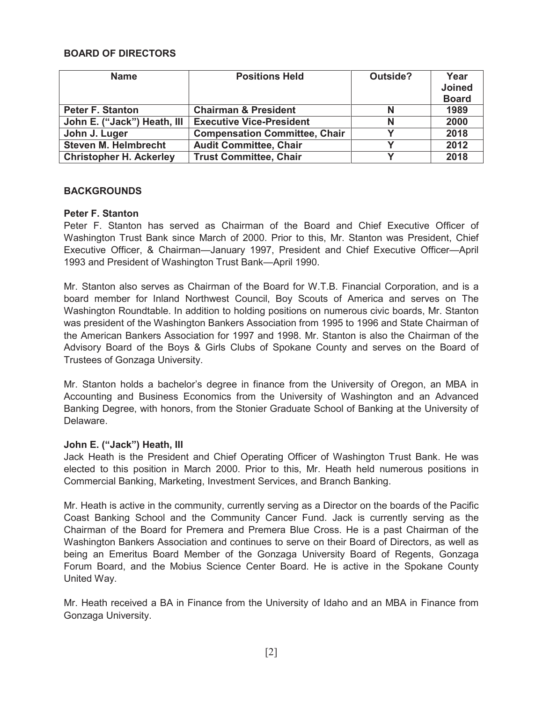## **BOARD OF DIRECTORS**

| <b>Name</b>                    | <b>Positions Held</b>                | Outside? | Year          |
|--------------------------------|--------------------------------------|----------|---------------|
|                                |                                      |          | <b>Joined</b> |
|                                |                                      |          | <b>Board</b>  |
| <b>Peter F. Stanton</b>        | <b>Chairman &amp; President</b>      | N        | 1989          |
| John E. ("Jack") Heath, III    | <b>Executive Vice-President</b>      | N        | 2000          |
| John J. Luger                  | <b>Compensation Committee, Chair</b> |          | 2018          |
| <b>Steven M. Helmbrecht</b>    | <b>Audit Committee, Chair</b>        |          | 2012          |
| <b>Christopher H. Ackerley</b> | <b>Trust Committee, Chair</b>        |          | 2018          |

#### **BACKGROUNDS**

## **Peter F. Stanton**

 Peter F. Stanton has served as Chairman of the Board and Chief Executive Officer of Washington Trust Bank since March of 2000. Prior to this, Mr. Stanton was President, Chief Executive Officer, & Chairman—January 1997, President and Chief Executive Officer—April 1993 and President of Washington Trust Bank—April 1990.

 Mr. Stanton also serves as Chairman of the Board for W.T.B. Financial Corporation, and is a board member for Inland Northwest Council, Boy Scouts of America and serves on The Washington Roundtable. In addition to holding positions on numerous civic boards, Mr. Stanton was president of the Washington Bankers Association from 1995 to 1996 and State Chairman of the American Bankers Association for 1997 and 1998. Mr. Stanton is also the Chairman of the Advisory Board of the Boys & Girls Clubs of Spokane County and serves on the Board of Trustees of Gonzaga University.

 Mr. Stanton holds a bachelor's degree in finance from the University of Oregon, an MBA in Accounting and Business Economics from the University of Washington and an Advanced Banking Degree, with honors, from the Stonier Graduate School of Banking at the University of Delaware.

#### **John E. ("Jack") Heath, III**

 Jack Heath is the President and Chief Operating Officer of Washington Trust Bank. He was elected to this position in March 2000. Prior to this, Mr. Heath held numerous positions in Commercial Banking, Marketing, Investment Services, and Branch Banking.

 Mr. Heath is active in the community, currently serving as a Director on the boards of the Pacific Coast Banking School and the Community Cancer Fund. Jack is currently serving as the Chairman of the Board for Premera and Premera Blue Cross. He is a past Chairman of the Washington Bankers Association and continues to serve on their Board of Directors, as well as being an Emeritus Board Member of the Gonzaga University Board of Regents, Gonzaga Forum Board, and the Mobius Science Center Board. He is active in the Spokane County United Way.

 Mr. Heath received a BA in Finance from the University of Idaho and an MBA in Finance from Gonzaga University.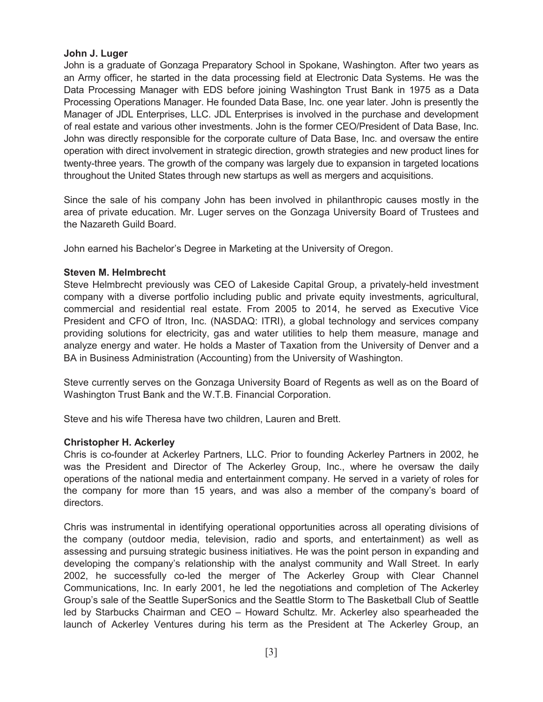## **John J. Luger**

 John is a graduate of Gonzaga Preparatory School in Spokane, Washington. After two years as an Army officer, he started in the data processing field at Electronic Data Systems. He was the Data Processing Manager with EDS before joining Washington Trust Bank in 1975 as a Data Processing Operations Manager. He founded Data Base, Inc. one year later. John is presently the Manager of JDL Enterprises, LLC. JDL Enterprises is involved in the purchase and development of real estate and various other investments. John is the former CEO/President of Data Base, Inc. John was directly responsible for the corporate culture of Data Base, Inc. and oversaw the entire operation with direct involvement in strategic direction, growth strategies and new product lines for twenty-three years. The growth of the company was largely due to expansion in targeted locations throughout the United States through new startups as well as mergers and acquisitions.

 Since the sale of his company John has been involved in philanthropic causes mostly in the area of private education. Mr. Luger serves on the Gonzaga University Board of Trustees and the Nazareth Guild Board.

John earned his Bachelor's Degree in Marketing at the University of Oregon.

## **Steven M. Helmbrecht**

 Steve Helmbrecht previously was CEO of Lakeside Capital Group, a privately-held investment company with a diverse portfolio including public and private equity investments, agricultural, commercial and residential real estate. From 2005 to 2014, he served as Executive Vice President and CFO of Itron, Inc. (NASDAQ: ITRI), a global technology and services company providing solutions for electricity, gas and water utilities to help them measure, manage and analyze energy and water. He holds a Master of Taxation from the University of Denver and a BA in Business Administration (Accounting) from the University of Washington.

 Steve currently serves on the Gonzaga University Board of Regents as well as on the Board of Washington Trust Bank and the W.T.B. Financial Corporation.

Steve and his wife Theresa have two children, Lauren and Brett.

## **Christopher H. Ackerley**

 Chris is co-founder at Ackerley Partners, LLC. Prior to founding Ackerley Partners in 2002, he was the President and Director of The Ackerley Group, Inc., where he oversaw the daily operations of the national media and entertainment company. He served in a variety of roles for the company for more than 15 years, and was also a member of the company's board of directors.

 Chris was instrumental in identifying operational opportunities across all operating divisions of the company (outdoor media, television, radio and sports, and entertainment) as well as assessing and pursuing strategic business initiatives. He was the point person in expanding and developing the company's relationship with the analyst community and Wall Street. In early 2002, he successfully co-led the merger of The Ackerley Group with Clear Channel Communications, Inc. In early 2001, he led the negotiations and completion of The Ackerley Group's sale of the Seattle SuperSonics and the Seattle Storm to The Basketball Club of Seattle led by Starbucks Chairman and CEO – Howard Schultz. Mr. Ackerley also spearheaded the launch of Ackerley Ventures during his term as the President at The Ackerley Group, an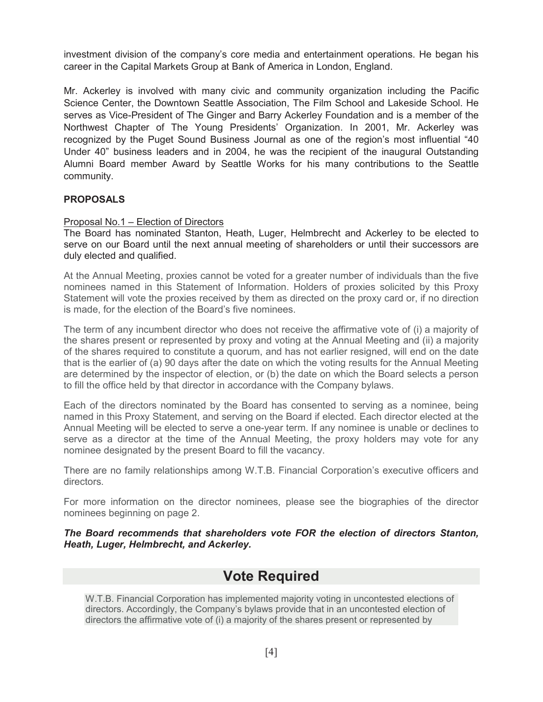investment division of the company's core media and entertainment operations. He began his career in the Capital Markets Group at Bank of America in London, England.

 Mr. Ackerley is involved with many civic and community organization including the Pacific Science Center, the Downtown Seattle Association, The Film School and Lakeside School. He serves as Vice-President of The Ginger and Barry Ackerley Foundation and is a member of the Northwest Chapter of The Young Presidents' Organization. In 2001, Mr. Ackerley was recognized by the Puget Sound Business Journal as one of the region's most influential "40 Under 40" business leaders and in 2004, he was the recipient of the inaugural Outstanding Alumni Board member Award by Seattle Works for his many contributions to the Seattle community.

## **PROPOSALS**

#### Proposal No.1 – Election of Directors

 The Board has nominated Stanton, Heath, Luger, Helmbrecht and Ackerley to be elected to serve on our Board until the next annual meeting of shareholders or until their successors are duly elected and qualified.

 At the Annual Meeting, proxies cannot be voted for a greater number of individuals than the five nominees named in this Statement of Information. Holders of proxies solicited by this Proxy Statement will vote the proxies received by them as directed on the proxy card or, if no direction is made, for the election of the Board's five nominees.

 The term of any incumbent director who does not receive the affirmative vote of (i) a majority of the shares present or represented by proxy and voting at the Annual Meeting and (ii) a majority of the shares required to constitute a quorum, and has not earlier resigned, will end on the date that is the earlier of (a) 90 days after the date on which the voting results for the Annual Meeting are determined by the inspector of election, or (b) the date on which the Board selects a person to fill the office held by that director in accordance with the Company bylaws.

 Each of the directors nominated by the Board has consented to serving as a nominee, being named in this Proxy Statement, and serving on the Board if elected. Each director elected at the Annual Meeting will be elected to serve a one-year term. If any nominee is unable or declines to serve as a director at the time of the Annual Meeting, the proxy holders may vote for any nominee designated by the present Board to fill the vacancy.

 There are no family relationships among W.T.B. Financial Corporation's executive officers and directors.

 For more information on the director nominees, please see the biographies of the director nominees beginning on page 2.

 *The Board recommends that shareholders vote FOR the election of directors Stanton, Heath, Luger, Helmbrecht, and Ackerley.*

## **Vote Required**

 W.T.B. Financial Corporation has implemented majority voting in uncontested elections of directors. Accordingly, the Company's bylaws provide that in an uncontested election of directors the affirmative vote of (i) a majority of the shares present or represented by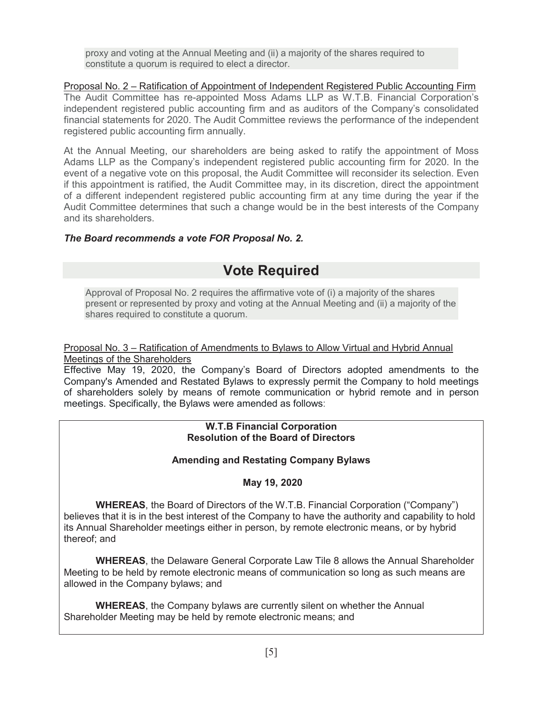proxy and voting at the Annual Meeting and (ii) a majority of the shares required to constitute a quorum is required to elect a director.

 Proposal No. 2 – Ratification of Appointment of Independent Registered Public Accounting Firm The Audit Committee has re-appointed Moss Adams LLP as W.T.B. Financial Corporation's independent registered public accounting firm and as auditors of the Company's consolidated financial statements for 2020. The Audit Committee reviews the performance of the independent registered public accounting firm annually.

 At the Annual Meeting, our shareholders are being asked to ratify the appointment of Moss Adams LLP as the Company's independent registered public accounting firm for 2020. In the event of a negative vote on this proposal, the Audit Committee will reconsider its selection. Even if this appointment is ratified, the Audit Committee may, in its discretion, direct the appointment of a different independent registered public accounting firm at any time during the year if the Audit Committee determines that such a change would be in the best interests of the Company and its shareholders.

## *The Board recommends a vote FOR Proposal No. 2.*

# **Vote Required**

 Approval of Proposal No. 2 requires the affirmative vote of (i) a majority of the shares present or represented by proxy and voting at the Annual Meeting and (ii) a majority of the shares required to constitute a quorum.

#### Proposal No. 3 – Ratification of Amendments to Bylaws to Allow Virtual and Hybrid Annual Meetings of the Shareholders

 Effective May 19, 2020, the Company's Board of Directors adopted amendments to the Company's Amended and Restated Bylaws to expressly permit the Company to hold meetings of shareholders solely by means of remote communication or hybrid remote and in person meetings. Specifically, the Bylaws were amended as follows:

#### **W.T.B Financial Corporation Resolution of the Board of Directors**

## **Amending and Restating Company Bylaws**

## **May 19, 2020**

 **WHEREAS**, the Board of Directors of the W.T.B. Financial Corporation ("Company") believes that it is in the best interest of the Company to have the authority and capability to hold its Annual Shareholder meetings either in person, by remote electronic means, or by hybrid thereof; and

 **WHEREAS**, the Delaware General Corporate Law Tile 8 allows the Annual Shareholder Meeting to be held by remote electronic means of communication so long as such means are allowed in the Company bylaws; and

 **WHEREAS**, the Company bylaws are currently silent on whether the Annual Shareholder Meeting may be held by remote electronic means; and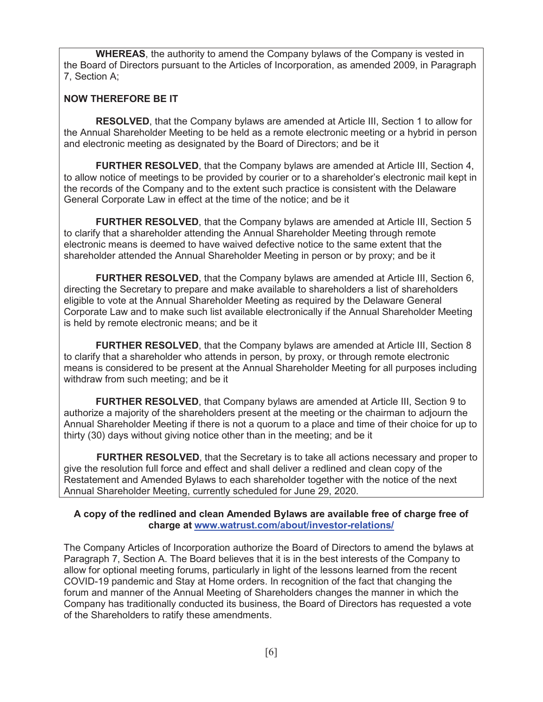**WHEREAS**, the authority to amend the Company bylaws of the Company is vested in the Board of Directors pursuant to the Articles of Incorporation, as amended 2009, in Paragraph 7, Section A;

## **NOW THEREFORE BE IT**

 **RESOLVED**, that the Company bylaws are amended at Article III, Section 1 to allow for the Annual Shareholder Meeting to be held as a remote electronic meeting or a hybrid in person and electronic meeting as designated by the Board of Directors; and be it

 **FURTHER RESOLVED**, that the Company bylaws are amended at Article III, Section 4, to allow notice of meetings to be provided by courier or to a shareholder's electronic mail kept in the records of the Company and to the extent such practice is consistent with the Delaware General Corporate Law in effect at the time of the notice; and be it

 **FURTHER RESOLVED**, that the Company bylaws are amended at Article III, Section 5 to clarify that a shareholder attending the Annual Shareholder Meeting through remote electronic means is deemed to have waived defective notice to the same extent that the shareholder attended the Annual Shareholder Meeting in person or by proxy; and be it

 **FURTHER RESOLVED**, that the Company bylaws are amended at Article III, Section 6, directing the Secretary to prepare and make available to shareholders a list of shareholders eligible to vote at the Annual Shareholder Meeting as required by the Delaware General Corporate Law and to make such list available electronically if the Annual Shareholder Meeting is held by remote electronic means; and be it

 **FURTHER RESOLVED**, that the Company bylaws are amended at Article III, Section 8 to clarify that a shareholder who attends in person, by proxy, or through remote electronic means is considered to be present at the Annual Shareholder Meeting for all purposes including withdraw from such meeting; and be it

 **FURTHER RESOLVED**, that Company bylaws are amended at Article III, Section 9 to authorize a majority of the shareholders present at the meeting or the chairman to adjourn the Annual Shareholder Meeting if there is not a quorum to a place and time of their choice for up to thirty (30) days without giving notice other than in the meeting; and be it

 give the resolution full force and effect and shall deliver a redlined and clean copy of the Restatement and Amended Bylaws to each shareholder together with the notice of the next Annual Shareholder Meeting, currently scheduled for June 29, 2020. **FURTHER RESOLVED**, that the Secretary is to take all actions necessary and proper to

#### **A copy of the redlined and clean Amended Bylaws are available free of charge free of charge at <www.watrust.com/about/investor-relations>/**

 The Company Articles of Incorporation authorize the Board of Directors to amend the bylaws at Paragraph 7, Section A. The Board believes that it is in the best interests of the Company to allow for optional meeting forums, particularly in light of the lessons learned from the recent COVID-19 pandemic and Stay at Home orders. In recognition of the fact that changing the forum and manner of the Annual Meeting of Shareholders changes the manner in which the Company has traditionally conducted its business, the Board of Directors has requested a vote of the Shareholders to ratify these amendments.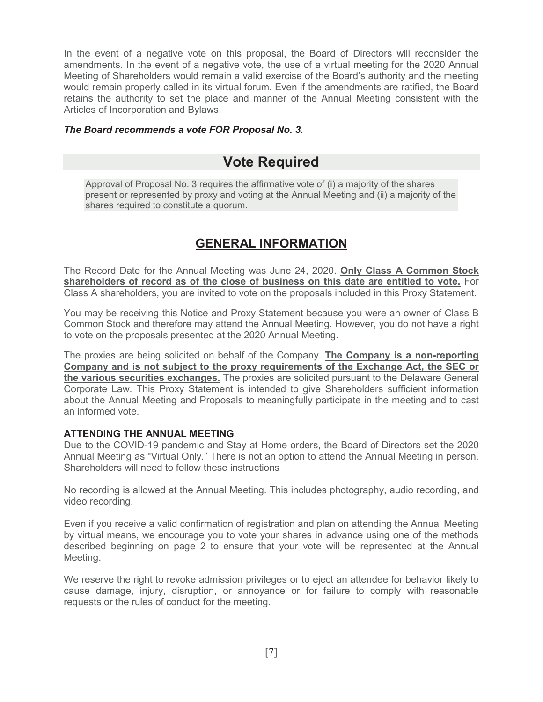In the event of a negative vote on this proposal, the Board of Directors will reconsider the amendments. In the event of a negative vote, the use of a virtual meeting for the 2020 Annual Meeting of Shareholders would remain a valid exercise of the Board's authority and the meeting would remain properly called in its virtual forum. Even if the amendments are ratified, the Board retains the authority to set the place and manner of the Annual Meeting consistent with the Articles of Incorporation and Bylaws.

## *The Board recommends a vote FOR Proposal No. 3.*

# **Vote Required**

 Approval of Proposal No. 3 requires the affirmative vote of (i) a majority of the shares present or represented by proxy and voting at the Annual Meeting and (ii) a majority of the shares required to constitute a quorum.

## **GENERAL INFORMATION**

 The Record Date for the Annual Meeting was June 24, 2020. **Only Class A Common Stock shareholders of record as of the close of business on this date are entitled to vote.** For Class A shareholders, you are invited to vote on the proposals included in this Proxy Statement.

 You may be receiving this Notice and Proxy Statement because you were an owner of Class B Common Stock and therefore may attend the Annual Meeting. However, you do not have a right to vote on the proposals presented at the 2020 Annual Meeting.

 The proxies are being solicited on behalf of the Company. **The Company is a non-reporting Company and is not subject to the proxy requirements of the Exchange Act, the SEC or the various securities exchanges.** The proxies are solicited pursuant to the Delaware General Corporate Law. This Proxy Statement is intended to give Shareholders sufficient information about the Annual Meeting and Proposals to meaningfully participate in the meeting and to cast an informed vote.

## **ATTENDING THE ANNUAL MEETING**

 Due to the COVID-19 pandemic and Stay at Home orders, the Board of Directors set the 2020 Annual Meeting as "Virtual Only." There is not an option to attend the Annual Meeting in person. Shareholders will need to follow these instructions

 No recording is allowed at the Annual Meeting. This includes photography, audio recording, and video recording.

 Even if you receive a valid confirmation of registration and plan on attending the Annual Meeting by virtual means, we encourage you to vote your shares in advance using one of the methods described beginning on page 2 to ensure that your vote will be represented at the Annual Meeting.

 We reserve the right to revoke admission privileges or to eject an attendee for behavior likely to cause damage, injury, disruption, or annoyance or for failure to comply with reasonable requests or the rules of conduct for the meeting.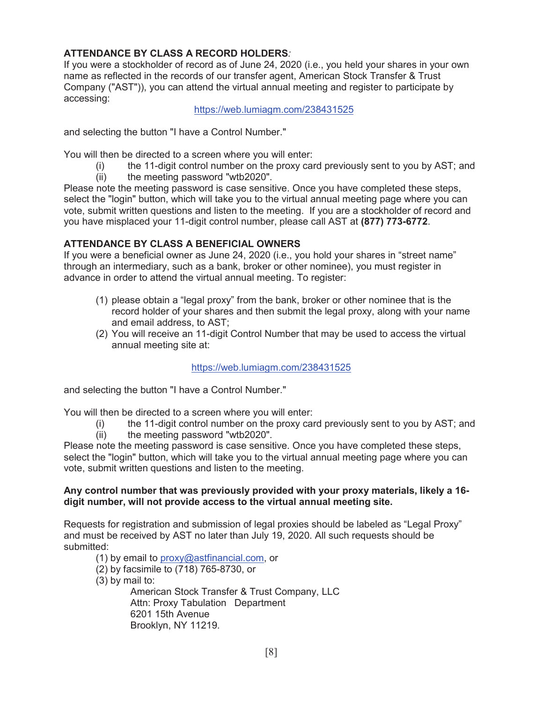## **ATTENDANCE BY CLASS A RECORD HOLDERS***:*

 If you were a stockholder of record as of June 24, 2020 (i.e., you held your shares in your own name as reflected in the records of our transfer agent, American Stock Transfer & Trust Company ("AST")), you can attend the virtual annual meeting and register to participate by accessing:

<https://web.lumiagm.com/238431525>

and selecting the button "I have a Control Number."

You will then be directed to a screen where you will enter:

- (i) the 11-digit control number on the proxy card previously sent to you by AST; and
- (ii) the meeting password "wtb2020".

 Please note the meeting password is case sensitive. Once you have completed these steps, select the "login" button, which will take you to the virtual annual meeting page where you can vote, submit written questions and listen to the meeting. If you are a stockholder of record and you have misplaced your 11-digit control number, please call AST at **(877) 773-6772**.

## **ATTENDANCE BY CLASS A BENEFICIAL OWNERS**

 If you were a beneficial owner as June 24, 2020 (i.e., you hold your shares in "street name" through an intermediary, such as a bank, broker or other nominee), you must register in advance in order to attend the virtual annual meeting. To register:

- (1) please obtain a "legal proxy" from the bank, broker or other nominee that is the record holder of your shares and then submit the legal proxy, along with your name and email address, to AST;
- (2) You will receive an 11-digit Control Number that may be used to access the virtual annual meeting site at:

#### <https://web.lumiagm.com/238431525>

and selecting the button "I have a Control Number."

You will then be directed to a screen where you will enter:

- (i) the 11-digit control number on the proxy card previously sent to you by AST; and
- (ii) the meeting password "wtb2020".

 Please note the meeting password is case sensitive. Once you have completed these steps, select the "login" button, which will take you to the virtual annual meeting page where you can vote, submit written questions and listen to the meeting.

## **Any control number that was previously provided with your proxy materials, likely a 16- digit number, will not provide access to the virtual annual meeting site.**

 Requests for registration and submission of legal proxies should be labeled as "Legal Proxy" and must be received by AST no later than July 19, 2020. All such requests should be submitted:

(1) by email to <u>[proxy@astfinancial.com,](mailto:proxy@astfinancial.com)</u> or

- (2) by facsimile to (718) 765-8730, or
- (3) by mail to:

 American Stock Transfer & Trust Company, LLC Attn: Proxy Tabulation Department 6201 15th Avenue Brooklyn, NY 11219.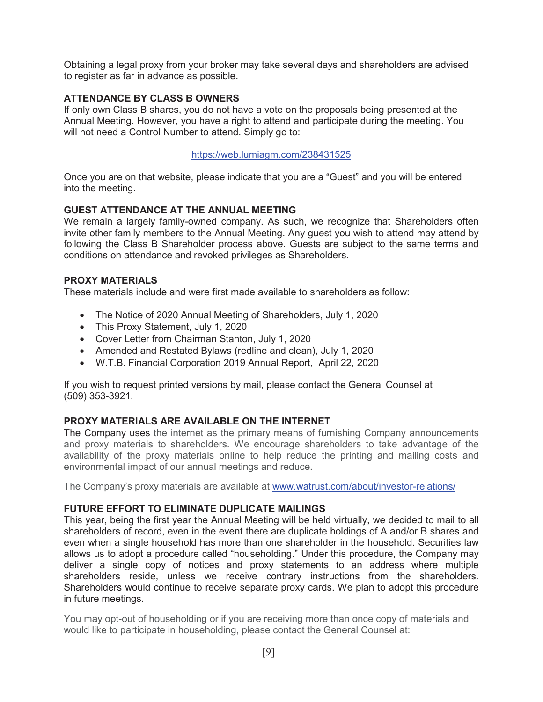Obtaining a legal proxy from your broker may take several days and shareholders are advised to register as far in advance as possible.

## **ATTENDANCE BY CLASS B OWNERS**

 If only own Class B shares, you do not have a vote on the proposals being presented at the Annual Meeting. However, you have a right to attend and participate during the meeting. You will not need a Control Number to attend. Simply go to:

#### <https://web.lumiagm.com/238431525>

 Once you are on that website, please indicate that you are a "Guest" and you will be entered into the meeting.

## **GUEST ATTENDANCE AT THE ANNUAL MEETING**

 We remain a largely family-owned company. As such, we recognize that Shareholders often invite other family members to the Annual Meeting. Any guest you wish to attend may attend by following the Class B Shareholder process above. Guests are subject to the same terms and conditions on attendance and revoked privileges as Shareholders.

#### **PROXY MATERIALS**

These materials include and were first made available to shareholders as follow:

- The Notice of 2020 Annual Meeting of Shareholders, July 1, 2020
- This Proxy Statement, July 1, 2020
- Cover Letter from Chairman Stanton, July 1, 2020
- Amended and Restated Bylaws (redline and clean), July 1, 2020
- W.T.B. Financial Corporation 2019 Annual Report, April 22, 2020

 If you wish to request printed versions by mail, please contact the General Counsel at (509) 353-3921.

## **PROXY MATERIALS ARE AVAILABLE ON THE INTERNET**

 The Company uses the internet as the primary means of furnishing Company announcements and proxy materials to shareholders. We encourage shareholders to take advantage of the availability of the proxy materials online to help reduce the printing and mailing costs and environmental impact of our annual meetings and reduce.

The Company's proxy materials are available at [www.watrust.com/about/investor-relations/](www.watrust.com/about/investor-relations)

#### **FUTURE EFFORT TO ELIMINATE DUPLICATE MAILINGS**

 This year, being the first year the Annual Meeting will be held virtually, we decided to mail to all shareholders of record, even in the event there are duplicate holdings of A and/or B shares and even when a single household has more than one shareholder in the household. Securities law allows us to adopt a procedure called "householding." Under this procedure, the Company may deliver a single copy of notices and proxy statements to an address where multiple shareholders reside, unless we receive contrary instructions from the shareholders. Shareholders would continue to receive separate proxy cards. We plan to adopt this procedure in future meetings.

 You may opt-out of householding or if you are receiving more than once copy of materials and would like to participate in householding, please contact the General Counsel at: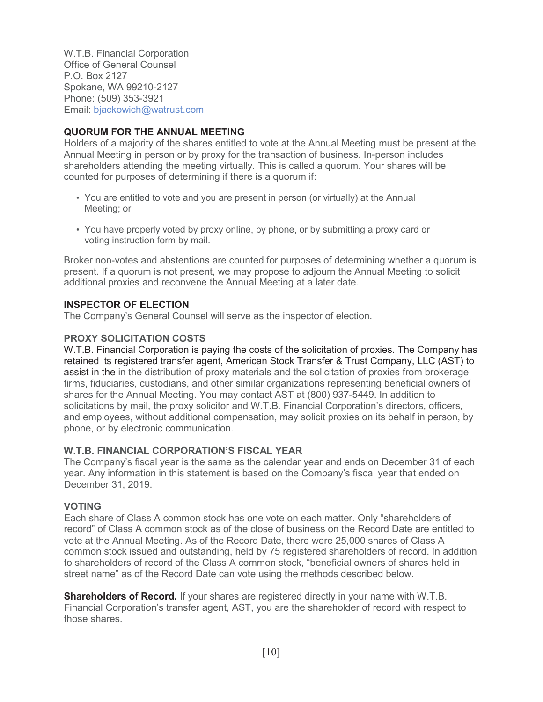W.T.B. Financial Corporation Office of General Counsel P.O. Box 2127 Spokane, WA 99210-2127 Phone: (509) 353-3921 Email: [bjackowich@watrust.com](mailto:bjackowich@watrust.com)

## **QUORUM FOR THE ANNUAL MEETING**

 Holders of a majority of the shares entitled to vote at the Annual Meeting must be present at the Annual Meeting in person or by proxy for the transaction of business. In-person includes shareholders attending the meeting virtually. This is called a quorum. Your shares will be counted for purposes of determining if there is a quorum if:

- • You are entitled to vote and you are present in person (or virtually) at the Annual Meeting; or
- • You have properly voted by proxy online, by phone, or by submitting a proxy card or voting instruction form by mail.

 Broker non-votes and abstentions are counted for purposes of determining whether a quorum is present. If a quorum is not present, we may propose to adjourn the Annual Meeting to solicit additional proxies and reconvene the Annual Meeting at a later date.

#### **INSPECTOR OF ELECTION**

The Company's General Counsel will serve as the inspector of election.

## **PROXY SOLICITATION COSTS**

 W.T.B. Financial Corporation is paying the costs of the solicitation of proxies. The Company has retained its registered transfer agent, American Stock Transfer & Trust Company, LLC (AST) to assist in the in the distribution of proxy materials and the solicitation of proxies from brokerage firms, fiduciaries, custodians, and other similar organizations representing beneficial owners of shares for the Annual Meeting. You may contact AST at (800) 937-5449. In addition to solicitations by mail, the proxy solicitor and W.T.B. Financial Corporation's directors, officers, and employees, without additional compensation, may solicit proxies on its behalf in person, by phone, or by electronic communication.

## **W.T.B. FINANCIAL CORPORATION'S FISCAL YEAR**

 The Company's fiscal year is the same as the calendar year and ends on December 31 of each year. Any information in this statement is based on the Company's fiscal year that ended on December 31, 2019.

#### **VOTING**

 Each share of Class A common stock has one vote on each matter. Only "shareholders of record" of Class A common stock as of the close of business on the Record Date are entitled to vote at the Annual Meeting. As of the Record Date, there were 25,000 shares of Class A common stock issued and outstanding, held by 75 registered shareholders of record. In addition to shareholders of record of the Class A common stock, "beneficial owners of shares held in street name" as of the Record Date can vote using the methods described below.

 **Shareholders of Record.** If your shares are registered directly in your name with W.T.B. Financial Corporation's transfer agent, AST, you are the shareholder of record with respect to those shares.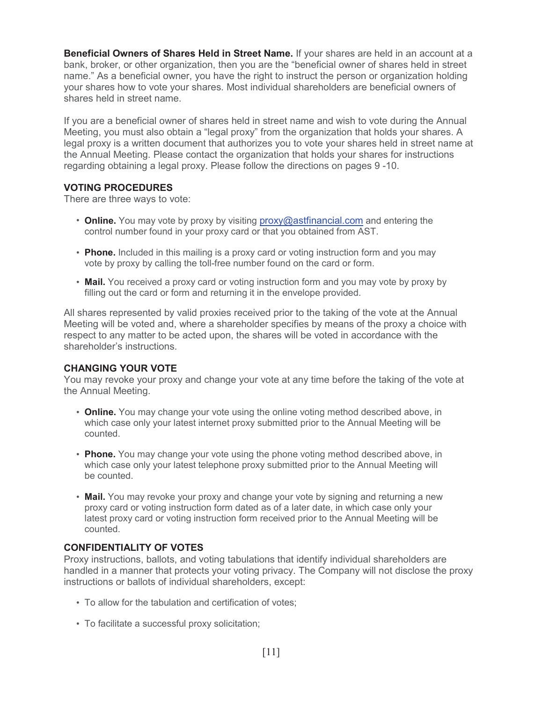**Beneficial Owners of Shares Held in Street Name.** If your shares are held in an account at a bank, broker, or other organization, then you are the "beneficial owner of shares held in street name." As a beneficial owner, you have the right to instruct the person or organization holding your shares how to vote your shares. Most individual shareholders are beneficial owners of shares held in street name.

 If you are a beneficial owner of shares held in street name and wish to vote during the Annual Meeting, you must also obtain a "legal proxy" from the organization that holds your shares. A legal proxy is a written document that authorizes you to vote your shares held in street name at the Annual Meeting. Please contact the organization that holds your shares for instructions regarding obtaining a legal proxy. Please follow the directions on pages 9 -10.

#### **VOTING PROCEDURES**

There are three ways to vote:

- • **Online.** You may vote by proxy by visiting [proxy@astfinancial.com](mailto:proxy@astfinancial.com) and entering the control number found in your proxy card or that you obtained from AST.
- • **Phone.** Included in this mailing is a proxy card or voting instruction form and you may vote by proxy by calling the toll-free number found on the card or form.
- • **Mail.** You received a proxy card or voting instruction form and you may vote by proxy by filling out the card or form and returning it in the envelope provided.

 All shares represented by valid proxies received prior to the taking of the vote at the Annual Meeting will be voted and, where a shareholder specifies by means of the proxy a choice with respect to any matter to be acted upon, the shares will be voted in accordance with the shareholder's instructions.

#### **CHANGING YOUR VOTE**

 You may revoke your proxy and change your vote at any time before the taking of the vote at the Annual Meeting.

- • **Online.** You may change your vote using the online voting method described above, in which case only your latest internet proxy submitted prior to the Annual Meeting will be counted.
- • **Phone.** You may change your vote using the phone voting method described above, in which case only your latest telephone proxy submitted prior to the Annual Meeting will be counted.
- • **Mail.** You may revoke your proxy and change your vote by signing and returning a new proxy card or voting instruction form dated as of a later date, in which case only your latest proxy card or voting instruction form received prior to the Annual Meeting will be counted.

## **CONFIDENTIALITY OF VOTES**

 Proxy instructions, ballots, and voting tabulations that identify individual shareholders are handled in a manner that protects your voting privacy. The Company will not disclose the proxy instructions or ballots of individual shareholders, except:

- To allow for the tabulation and certification of votes;
- To facilitate a successful proxy solicitation;